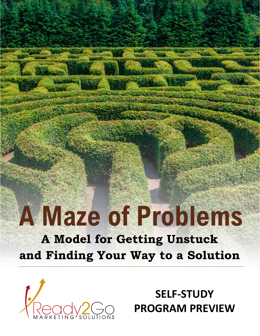# **A Maze of Problems**

**A Model for Getting Unstuck and Finding Your Way to a Solution**



**SELF-STUDY PROGRAM PREVIEW**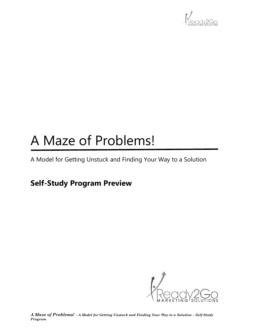

### A Maze of Problems!

A Model for Getting Unstuck and Finding Your Way to a Solution

### **Self-Study Program Preview**

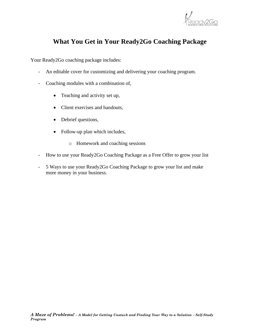

#### **What You Get in Your Ready2Go Coaching Package**

Your Ready2Go coaching package includes:

- An editable cover for customizing and delivering your coaching program.
- Coaching modules with a combination of,
	- Teaching and activity set up,
	- Client exercises and handouts,
	- Debrief questions,
	- Follow-up plan which includes,
		- o Homework and coaching sessions
- How to use your Ready2Go Coaching Package as a Free Offer to grow your list
- 5 Ways to use your Ready2Go Coaching Package to grow your list and make more money in your business.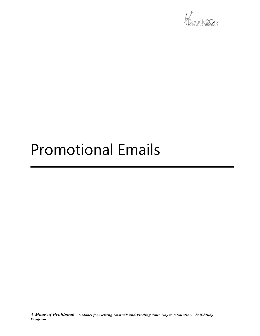

### Promotional Emails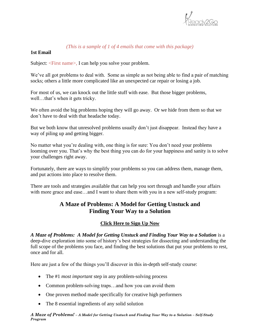

#### *(This is a sample of 1 of 4 emails that come with this package)*

#### **1st Email**

Subject: <First name>, I can help you solve your problem.

We've all got problems to deal with. Some as simple as not being able to find a pair of matching socks; others a little more complicated like an unexpected car repair or losing a job.

For most of us, we can knock out the little stuff with ease. But those bigger problems, well...that's when it gets tricky.

We often avoid the big problems hoping they will go away. Or we hide from them so that we don't have to deal with that headache today.

But we both know that unresolved problems usually don't just disappear. Instead they have a way of piling up and getting bigger.

No matter what you're dealing with, one thing is for sure: You don't need your problems looming over you. That's why the best thing you can do for your happiness and sanity is to solve your challenges right away.

Fortunately, there are ways to simplify your problems so you can address them, manage them, and put actions into place to resolve them.

There are tools and strategies available that can help you sort through and handle your affairs with more grace and ease...and I want to share them with you in a new self-study program:

#### **A Maze of Problems: A Model for Getting Unstuck and Finding Your Way to a Solution**

#### **Click Here to Sign Up Now**

*A Maze of Problems: A Model for Getting Unstuck and Finding Your Way to a Solution* is a deep-dive exploration into some of history's best strategies for dissecting and understanding the full scope of the problems you face, and finding the best solutions that put your problems to rest, once and for all.

Here are just a few of the things you'll discover in this in-depth self-study course:

- The #1 *most important* step in any problem-solving process
- Common problem-solving traps...and how you can avoid them
- One proven method made specifically for creative high performers
- The 8 essential ingredients of any solid solution

*A Maze of Problems! – A Model for Getting Unstuck and Finding Your Way to a Solution – Self-Study Program*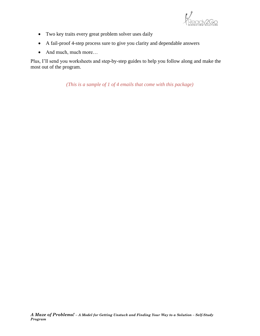

- Two key traits every great problem solver uses daily
- A fail-proof 4-step process sure to give you clarity and dependable answers
- And much, much more...

Plus, I'll send you worksheets and step-by-step guides to help you follow along and make the most out of the program.

*(This is a sample of 1 of 4 emails that come with this package)*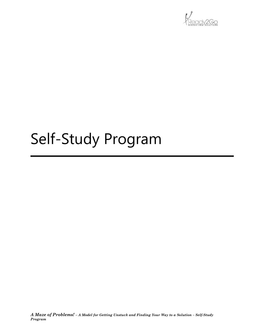

## Self-Study Program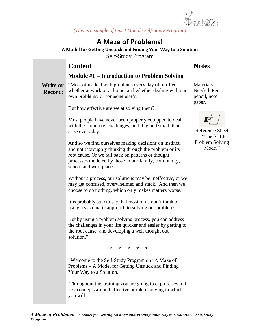

*(This is a sample of this 4 Module Self-Study Program)*

#### **A Maze of Problems!**

**A Model for Getting Unstuck and Finding Your Way to a Solution** Self-Study Program

#### **Content**

#### **Module #1 – Introduction to Problem Solving**

**Write or Record:**

"Most of us deal with problems every day of our lives, whether at work or at home, and whether dealing with our own problems, or someone else's.

But how effective are we at solving them?

Most people have never been properly equipped to deal with the numerous challenges, both big and small, that arise every day.

And so we find ourselves making decisions on instinct, and not thoroughly thinking through the problem or its root cause. Or we fall back on patterns or thought processes modeled by those in our family, community, school and workplace.

Without a process, our solutions may be ineffective, or we may get confused, overwhelmed and stuck. And then we choose to do nothing, which only makes matters worse.

It is probably safe to say that most of us don't think of using a systematic approach to solving our problems.

But by using a problem solving process, you can address the challenges in your life quicker and easier by getting to the root cause, and developing a well thought out solution."

\* \* \* \* \*

"Welcome to the Self-Study Program on "A Maze of Problems – A Model for Getting Unstuck and Finding Your Way to a Solution.

Throughout this training you are going to explore several key concepts around effective problem solving in which you will:

#### **Notes**

**Materials** Needed: Pen or pencil, note paper.



Reference Sheet – "The STEP Problem Solving Model"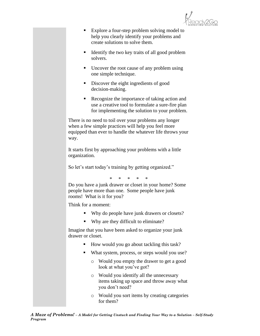

- Explore a four-step problem solving model to help you clearly identify your problems and create solutions to solve them.
- Identify the two key traits of all good problem solvers.
- Uncover the root cause of any problem using one simple technique.
- Discover the eight ingredients of good decision-making.
- Recognize the importance of taking action and use a creative tool to formulate a sure-fire plan for implementing the solution to your problem.

There is no need to toil over your problems any longer when a few simple practices will help you feel more equipped than ever to handle the whatever life throws your way.

It starts first by approaching your problems with a little organization.

So let's start today's training by getting organized."

\* \* \* \* \*

Do you have a junk drawer or closet in your home? Some people have more than one. Some people have junk rooms! What is it for you?

Think for a moment:

- Why do people have junk drawers or closets?
- Why are they difficult to eliminate?

Imagine that you have been asked to organize your junk drawer or closet.

- How would you go about tackling this task?
- What system, process, or steps would you use?
	- o Would you empty the drawer to get a good look at what you've got?
	- o Would you identify all the unnecessary items taking up space and throw away what you don't need?
	- o Would you sort items by creating categories for them?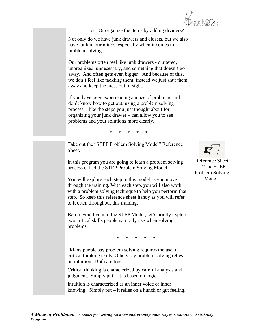o Or organize the items by adding dividers?

Not only do we have junk drawers and closets, but we also have junk in our minds, especially when it comes to problem solving.

Our problems often feel like junk drawers - cluttered, unorganized, unnecessary, and something that doesn't go away. And often gets even bigger! And because of this, we don't feel like tackling them; instead we just shut them away and keep the mess out of sight.

If you have been experiencing a maze of problems and don't know how to get out, using a problem solving process – like the steps you just thought about for organizing your junk drawer – can allow you to see problems and your solutions more clearly.

\* \* \* \* \*

Take out the "STEP Problem Solving Model" Reference Sheet.

In this program you are going to learn a problem solving process called the STEP Problem Solving Model.

You will explore each step in this model as you move through the training. With each step, you will also work with a problem solving technique to help you perform that step. So keep this reference sheet handy as you will refer to it often throughout this training.

Before you dive into the STEP Model, let's briefly explore two critical skills people naturally use when solving problems.

\* \* \* \* \*

"Many people say problem solving requires the use of critical thinking skills. Others say problem solving relies on intuition. Both are true.

Critical thinking is characterized by careful analysis and judgment. Simply put – it is based on logic.

Intuition is characterized as an inner voice or inner knowing. Simply put – it relies on a hunch or gut feeling.

Reference Sheet – "The STEP Problem Solving Model"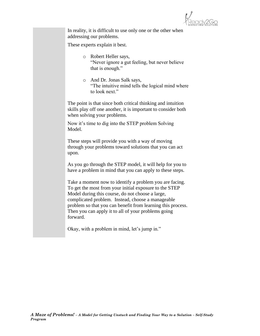

In reality, it is difficult to use only one or the other when addressing our problems.

These experts explain it best.

- o Robert Heller says, "Never ignore a gut feeling, but never believe that is enough."
- o And Dr. Jonas Salk says, "The intuitive mind tells the logical mind where to look next."

The point is that since both critical thinking and intuition skills play off one another, it is important to consider both when solving your problems.

Now it's time to dig into the STEP problem Solving Model.

These steps will provide you with a way of moving through your problems toward solutions that you can act upon.

As you go through the STEP model, it will help for you to have a problem in mind that you can apply to these steps.

Take a moment now to identify a problem you are facing. To get the most from your initial exposure to the STEP Model during this course, do not choose a large, complicated problem. Instead, choose a manageable problem so that you can benefit from learning this process. Then you can apply it to all of your problems going forward.

Okay, with a problem in mind, let's jump in."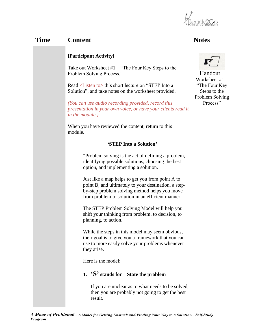

#### **Time Content Notes**

#### **[Participant Activity]**

Take out Worksheet #1 – "The Four Key Steps to the Problem Solving Process."

Read <Listen to> this short lecture on "STEP Into a Solution", and take notes on the worksheet provided.

*(You can use audio recording provided, record this presentation in your own voice, or have your clients read it in the module.)*

When you have reviewed the content, return to this module.

#### **'STEP Into a Solution'**

"Problem solving is the act of defining a problem, identifying possible solutions, choosing the best option, and implementing a solution.

Just like a map helps to get you from point A to point B, and ultimately to your destination, a stepby-step problem solving method helps you move from problem to solution in an efficient manner.

The STEP Problem Solving Model will help you shift your thinking from problem, to decision, to planning, to action.

While the steps in this model may seem obvious, their goal is to give you a framework that you can use to more easily solve your problems whenever they arise.

Here is the model:

#### **1. 'S' stands for – State the problem**

If you are unclear as to what needs to be solved, then you are probably not going to get the best result.



Handout – Worksheet #1 – "The Four Key Steps to the Problem Solving Process"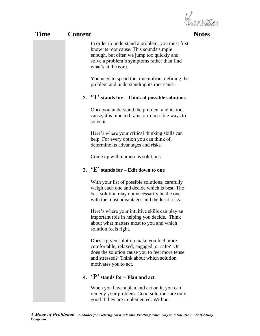**OCY2GO** 

| Time | <b>Content</b> |                                                                                                                                                                                                                | <b>Notes</b> |
|------|----------------|----------------------------------------------------------------------------------------------------------------------------------------------------------------------------------------------------------------|--------------|
|      |                | In order to understand a problem, you must first<br>know its root cause. This sounds simple<br>enough, but often we jump too quickly and<br>solve a problem's symptoms rather than find<br>what's at the core. |              |
|      |                | You need to spend the time upfront defining the<br>problem and understanding its root cause.                                                                                                                   |              |
|      |                | 2. $T'$ stands for – Think of possible solutions                                                                                                                                                               |              |
|      |                | Once you understand the problem and its root<br>cause, it is time to brainstorm possible ways to<br>solve it.                                                                                                  |              |
|      |                | Here's where your critical thinking skills can<br>help. For every option you can think of,<br>determine its advantages and risks.                                                                              |              |
|      |                | Come up with numerous solutions.                                                                                                                                                                               |              |
|      |                | 3. $E'$ stands for – Edit down to one                                                                                                                                                                          |              |
|      |                | With your list of possible solutions, carefully<br>weigh each one and decide which is best. The<br>best solution may not necessarily be the one<br>with the most advantages and the least risks.               |              |
|      |                | Here's where your intuitive skills can play an<br>important role in helping you decide. Think<br>about what matters most to you and which<br>solution feels right.                                             |              |
|      |                | Does a given solution make you feel more<br>comfortable, relaxed, engaged, or safe? Or<br>does the solution cause you to feel more tense<br>and stressed? Think about which solution<br>motivates you to act.  |              |
|      |                | 4. $\mathbf{P}'$ stands for – Plan and act                                                                                                                                                                     |              |
|      |                | When you have a plan and act on it, you can<br>remedy your problem. Good solutions are only<br>good if they are implemented. Without                                                                           |              |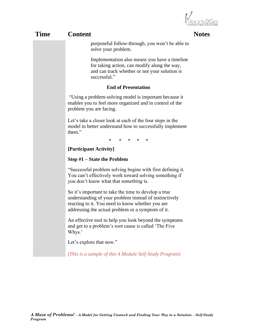Ready2Go

|             |                                                                                                                                                                                                                         | MARKETING SOLUTIO |  |  |
|-------------|-------------------------------------------------------------------------------------------------------------------------------------------------------------------------------------------------------------------------|-------------------|--|--|
| <b>Time</b> | <b>Content</b>                                                                                                                                                                                                          | <b>Notes</b>      |  |  |
|             | purposeful follow-through, you won't be able to<br>solve your problem.                                                                                                                                                  |                   |  |  |
|             | Implementation also means you have a timeline<br>for taking action, can modify along the way,<br>and can track whether or not your solution is<br>successful."                                                          |                   |  |  |
|             | <b>End of Presentation</b>                                                                                                                                                                                              |                   |  |  |
|             | "Using a problem-solving model is important because it<br>enables you to feel more organized and in control of the<br>problem you are facing.                                                                           |                   |  |  |
|             | Let's take a closer look at each of the four steps in the<br>model to better understand how to successfully implement<br>them."                                                                                         |                   |  |  |
|             | * * * *<br>∗                                                                                                                                                                                                            |                   |  |  |
|             | [Participant Activity]                                                                                                                                                                                                  |                   |  |  |
|             | <b>Step <math>#1</math> – State the Problem</b>                                                                                                                                                                         |                   |  |  |
|             | "Successful problem solving begins with first defining it.<br>You can't effectively work toward solving something if<br>you don't know what that <i>something</i> is.                                                   |                   |  |  |
|             | So it's important to take the time to develop a true<br>understanding of your problem instead of instinctively<br>reacting to it. You need to know whether you are<br>addressing the actual problem or a symptom of it. |                   |  |  |
|             | An effective tool to help you look beyond the symptoms<br>and get to a problem's root cause is called 'The Five<br>Whys.'                                                                                               |                   |  |  |
|             | Let's explore that now."                                                                                                                                                                                                |                   |  |  |
|             | (This is a sample of this 4 Module Self-Study Program)                                                                                                                                                                  |                   |  |  |
|             |                                                                                                                                                                                                                         |                   |  |  |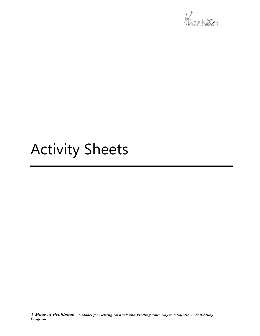

## Activity Sheets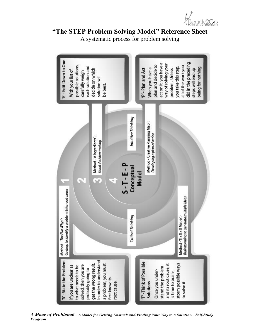

#### **"The STEP Problem Solving Model" Reference Sheet**

A systematic process for problem solving



*A Maze of Problems! - A Model for Getting Unstuck and Finding Your Way to a Solution - Self-Study Program*